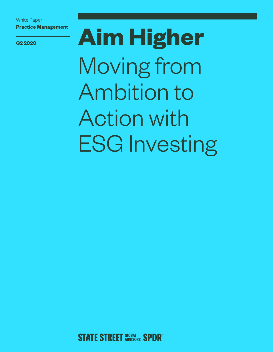White Paper **Practice Management** 

**Q2 2020 Aim Higher** Moving from Ambition to Action with ESG Investing

**STATE STREET SLOBAL SPDR<sup>®</sup>**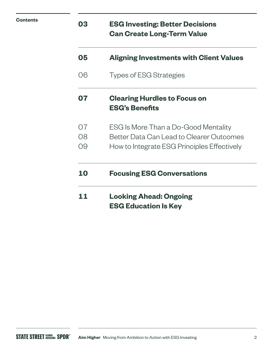| <b>Contents</b> | 03             | <b>ESG Investing: Better Decisions</b><br><b>Can Create Long-Term Value</b>                                                     |
|-----------------|----------------|---------------------------------------------------------------------------------------------------------------------------------|
|                 | 05             | <b>Aligning Investments with Client Values</b>                                                                                  |
|                 | 06             | <b>Types of ESG Strategies</b>                                                                                                  |
|                 | 07             | <b>Clearing Hurdles to Focus on</b><br><b>ESG's Benefits</b>                                                                    |
|                 | 07<br>08<br>09 | ESG Is More Than a Do-Good Mentality<br>Better Data Can Lead to Clearer Outcomes<br>How to Integrate ESG Principles Effectively |
|                 | 10             | <b>Focusing ESG Conversations</b>                                                                                               |
|                 | 11             | <b>Looking Ahead: Ongoing</b><br><b>ESG Education Is Key</b>                                                                    |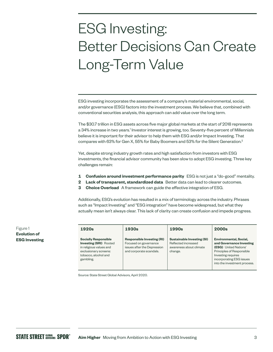# ESG Investing: Better Decisions Can Create Long-Term Value

ESG investing incorporates the assessment of a company's material environmental, social, and/or governance (ESG) factors into the investment process. We believe that, combined with conventional securities analysis, this approach can add value over the long term.

The \$30.7 trillion in ESG assets across five major global markets at the start of 2018 represents a 34% increase in two years.<sup>1</sup> Investor interest is growing, too. Seventy-five percent of Millennials believe it is important for their advisor to help them with ESG and/or Impact Investing. That compares with 63% for Gen X, 55% for Baby Boomers and 53% for the Silent Generation.<sup>2</sup>

Yet, despite strong industry growth rates and high satisfaction from investors with ESG investments, the financial advisor community has been slow to adopt ESG investing. Three key challenges remain:

- **1 Confusion around investment performance parity** ESG is not just a "do-good" mentality.
- **2 Lack of transparent, standardized data** Better data can lead to clearer outcomes.
- **3 Choice Overload** A framework can guide the effective integration of ESG.

Additionally, ESG's evolution has resulted in a mix of terminology across the industry. Phrases such as "Impact Investing" and "ESG integration" have become widespread, but what they actually mean isn't always clear. This lack of clarity can create confusion and impede progress.

| 1920s                                                                                                                                                 | 1930s                                                                                                                | 1990s                                                                                          | 2000s                                                                                                                                                                                                    |
|-------------------------------------------------------------------------------------------------------------------------------------------------------|----------------------------------------------------------------------------------------------------------------------|------------------------------------------------------------------------------------------------|----------------------------------------------------------------------------------------------------------------------------------------------------------------------------------------------------------|
| <b>Socially Responsible</b><br><b>Investing (SRI)</b> Rooted<br>in religious values and<br>exclusionary screens:<br>tobacco, alcohol and<br>gambling. | <b>Responsible Investing (RI)</b><br>Focused on governance<br>issues after the Depression<br>and corporate scandals. | <b>Sustainable Investing (SI)</b><br>Reflected increased<br>awareness about climate<br>change. | <b>Environmental, Social,</b><br>and Governance Investing<br><b>(ESG)</b> United Nations'<br>Principles of Responsible<br>Investing requires<br>incorporating ESG issues<br>into the investment process. |

Source: State Street Global Advisors, April 2020.

Figure 1 **Evolution of ESG Investing**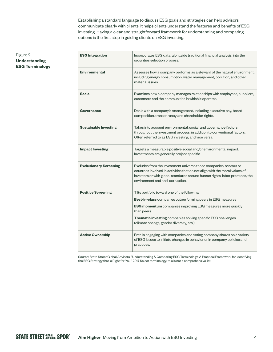Establishing a standard language to discuss ESG goals and strategies can help advisors communicate clearly with clients. It helps clients understand the features and benefits of ESG investing. Having a clear and straightforward framework for understanding and comparing options is the first step in guiding clients on ESG investing.

#### Figure 2 **Understanding ESG Terminology**

| <b>ESG Integration</b>        | Incorporates ESG data, alongside traditional financial analysis, into the<br>securities selection process.                                                                                                                                                           |  |  |  |
|-------------------------------|----------------------------------------------------------------------------------------------------------------------------------------------------------------------------------------------------------------------------------------------------------------------|--|--|--|
| <b>Environmental</b>          | Assesses how a company performs as a steward of the natural environment,<br>including energy consumption, water management, pollution, and other<br>material issues.                                                                                                 |  |  |  |
| <b>Social</b>                 | Examines how a company manages relationships with employees, suppliers,<br>customers and the communities in which it operates.                                                                                                                                       |  |  |  |
| Governance                    | Deals with a company's management, including executive pay, board<br>composition, transparency and shareholder rights.                                                                                                                                               |  |  |  |
| <b>Sustainable Investing</b>  | Takes into account environmental, social, and governance factors<br>throughout the investment process, in addition to conventional factors.<br>Often referred to as ESG investing, and vice versa.                                                                   |  |  |  |
| <b>Impact Investing</b>       | Targets a measurable positive social and/or environmental impact.<br>Investments are generally project specific.                                                                                                                                                     |  |  |  |
| <b>Exclusionary Screening</b> | Excludes from the investment universe those companies, sectors or<br>countries involved in activities that do not align with the moral values of<br>investors or with global standards around human rights, labor practices, the<br>environment and anti-corruption. |  |  |  |
| <b>Positive Screening</b>     | Tilts portfolio toward one of the following:                                                                                                                                                                                                                         |  |  |  |
|                               | Best-in-class companies outperforming peers in ESG measures                                                                                                                                                                                                          |  |  |  |
|                               | <b>ESG momentum</b> companies improving ESG measures more quickly<br>than peers                                                                                                                                                                                      |  |  |  |
|                               | Thematic investing companies solving specific ESG challenges<br>(climate change, gender diversity, etc.)                                                                                                                                                             |  |  |  |
| <b>Active Ownership</b>       | Entails engaging with companies and voting company shares on a variety<br>of ESG issues to initiate changes in behavior or in company policies and<br>practices.                                                                                                     |  |  |  |

Source: State Street Global Advisors, "Understanding & Comparing ESG Terminology: A Practical Framework for Identifying the ESG Strategy that is Right for You." 2017 Select terminology, this is not a comprehensive list.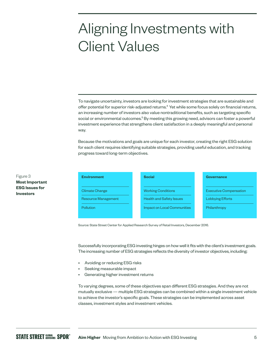# Aligning Investments with Client Values

To navigate uncertainty, investors are looking for investment strategies that are sustainable and offer potential for superior risk-adjusted returns.<sup>4</sup> Yet while some focus solely on financial returns, an increasing number of investors also value nontraditional benefits, such as targeting specific social or environmental outcomes.<sup>5</sup> By meeting this growing need, advisors can foster a powerful investment experience that strengthens client satisfaction in a deeply meaningful and personal way.

Because the motivations and goals are unique for each investor, creating the right ESG solution for each client requires identifying suitable strategies, providing useful education, and tracking progress toward long-term objectives.

| <b>Environment</b>         |  | <b>Social</b>                      | Governance                    |
|----------------------------|--|------------------------------------|-------------------------------|
|                            |  |                                    |                               |
| <b>Climate Change</b>      |  | <b>Working Conditions</b>          | <b>Executive Compensation</b> |
| <b>Resource Management</b> |  | <b>Health and Safety Issues</b>    | <b>Lobbying Efforts</b>       |
| Pollution                  |  | <b>Impact on Local Communities</b> | Philanthropy                  |
|                            |  |                                    |                               |

Source: State Street Center for Applied Research Survey of Retail Investors, December 2016.

Successfully incorporating ESG investing hinges on how well it fits with the client's investment goals. The increasing number of ESG strategies reflects the diversity of investor objectives, including:

- Avoiding or reducing ESG risks
- Seeking measurable impact
- Generating higher investment returns

To varying degrees, some of these objectives span different ESG strategies. And they are not mutually exclusive — multiple ESG strategies can be combined within a single investment vehicle to achieve the investor's specific goals. These strategies can be implemented across asset classes, investment styles and investment vehicles.

Figure 3 **Most Important ESG Issues for Investors**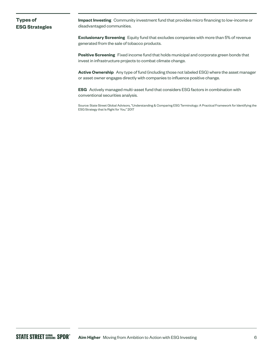### **Types of ESG Strategies**

**Impact Investing** Community investment fund that provides micro financing to low-income or disadvantaged communities.

**Exclusionary Screening** Equity fund that excludes companies with more than 5% of revenue generated from the sale of tobacco products.

**Positive Screening** Fixed income fund that holds municipal and corporate green bonds that invest in infrastructure projects to combat climate change.

**Active Ownership** Any type of fund (including those not labeled ESG) where the asset manager or asset owner engages directly with companies to influence positive change.

**ESG** Actively managed multi-asset fund that considers ESG factors in combination with conventional securities analysis.

Source: State Street Global Advisors, "Understanding & Comparing ESG Terminology: A Practical Framework for Identifying the ESG Strategy that Is Right for You." 2017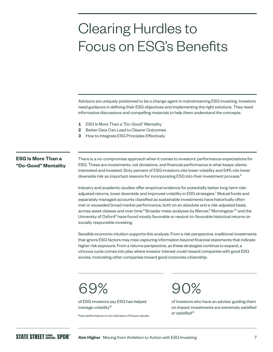# Clearing Hurdles to Focus on ESG's Benefits

Advisors are uniquely positioned to be a change agent in mainstreaming ESG investing. Investors need guidance in defining their ESG objectives and implementing the right solutions. They need informative discussions and compelling materials to help them understand the concepts.

- **1** ESG Is More Than a "Do-Good" Mentality
- **2** Better Data Can Lead to Clearer Outcomes
- **3** How to Integrate ESG Principles Effectively

### **ESG Is More Than a "Do-Good" Mentality**

There is a no-compromise approach when it comes to investors' performance expectations for ESG. These are investments, not donations, and financial performance is what keeps clients interested and invested. Sixty percent of ESG investors cite lower volatility and 54% cite lower downside risk as important reasons for incorporating ESG into their investment process.<sup>6</sup>

Industry and academic studies offer empirical evidence for potentially better long-term riskadjusted returns, lower downside and improved volatility in ESG strategies.<sup>7</sup> Mutual funds and separately managed accounts classified as sustainable investments have historically often met or exceeded broad market performance, both on an absolute and a risk-adjusted basis, across asset classes and over time.<sup>8</sup> Broader meta-analyses by Mercer,<sup>9</sup> Morningstar<sup>10</sup> and the University of Oxford<sup>11</sup> have found mostly favorable or neutral-to-favorable historical returns on socially responsible investing.

Sensible economic intuition supports this analysis. From a risk perspective, traditional investments that ignore ESG factors may miss capturing information beyond financial statements that indicate higher risk exposure. From a returns perspective, as these strategies continue to expand, a virtuous cycle comes into play where investor interest could reward companies with good ESG scores, motivating other companies toward good corporate citizenship.

### 69%

of ESG investors say ESG has helped manage volatility<sup>12</sup>

Past performance is not indicative of future results.

 $90\%$ 

of investors who have an advisor guiding them on impact investments are extremely satisfied or satisfied<sup>13</sup>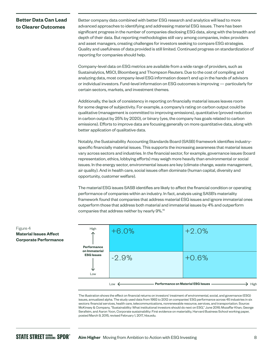### **Better Data Can Lead to Clearer Outcomes**

Better company data combined with better ESG research and analytics will lead to more advanced approaches to identifying and addressing material ESG issues. There has been significant progress in the number of companies disclosing ESG data, along with the breadth and depth of their data. But reporting methodologies still vary among companies, index providers and asset managers, creating challenges for investors seeking to compare ESG strategies. Quality and usefulness of data provided is still limited. Continued progress on standardization of reporting for companies should help.

Company-level data on ESG metrics are available from a wide range of providers, such as Sustainalytics, MSCI, Bloomberg and Thompson Reuters. Due to the cost of compiling and analyzing data, most company-level ESG information doesn't end up in the hands of advisors or individual investors. Fund-level information on ESG outcomes is improving — particularly for certain sectors, markets, and investment themes.

Additionally, the lack of consistency in reporting on financially material issues leaves room for some degree of subjectivity. For example, a company's rating on carbon output could be qualitative (management is committed to improving emissions), quantitative (proved reduction in carbon output by 25% by 2020), or binary (yes, the company has goals related to carbon emissions). Efforts to improve data are focusing generally on more quantitative data, along with better application of qualitative data.

Notably, the Sustainability Accounting Standards Board (SASB) framework identifies industryspecific financially material issues. This supports the increasing awareness that material issues vary across sectors and industries. In the financial sector, for example, governance issues (board representation, ethics, lobbying efforts) may weigh more heavily than environmental or social issues. In the energy sector, environmental issues are key (climate change, waste management, air quality). And in health care, social issues often dominate (human capital, diversity and opportunity, customer welfare).

The material ESG issues SASB identifies are likely to affect the financial condition or operating performance of companies within an industry. In fact, analysis using SASB's materiality framework found that companies that address material ESG issues and ignore immaterial ones outperform those that address both material and immaterial issues by 4% and outperform companies that address neither by nearly 9%.14



The illustration shows the effect on financial returns on investors' treatment of environmental, social, and governance (ESG) issues, annualized alpha. The study used data from 1992 to 2012 on companies' ESG performance across 45 industries in six sectors: financial services, health care, telecommunications, nonrenewable resource, services, and transportation. Source: McKinsey & Company, "Sustainability: What institutional investors should do next on ESG," June 2016; Mozaffar Khan, George Serafeim, and Aaron Yoon, Corporate sustainability: First evidence on materiality, Harvard Business School working paper, posted March 9, 2015, revised February 1, 2017, hbs.edu.

#### Figure 4 **Material Issues Affect Corporate Performance**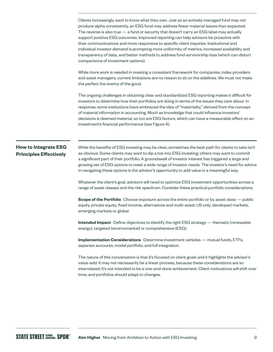Clients increasingly want to know what they own. Just as an actively managed fund may not produce alpha consistently, an ESG fund may address fewer material issues than expected. The reverse is also true — a fund or security that doesn't carry an ESG label may actually support positive ESG outcomes. Improved reporting can help advisors be proactive with their communications and more responsive to specific client inquiries. Institutional and individual investor demand is prompting more uniformity of metrics, increased availability and transparency of data, and better methods to address fund survivorship bias (which can distort comparisons of investment options).

While more work is needed in creating a consistent framework for companies, index providers and asset managers, current limitations are no reason to sit on the sidelines. We must not make the perfect the enemy of the good.

The ongoing challenges in obtaining clear and standardized ESG reporting makes it difficult for investors to determine how their portfolios are doing in terms of the issues they care about. In response, some institutions have embraced the idea of "materiality," derived from the concept of material information in accounting. Much as knowledge that could influence investors' decisions is deemed material, so too are ESG factors, which can have a measurable effect on an investment's financial performance (see Figure 4).

### **How to Integrate ESG Principles Effectively**

While the benefits of ESG investing may be clear, sometimes the best path for clients to take isn't as obvious. Some clients may want to dip a toe into ESG investing; others may want to commit a significant part of their portfolio. A groundswell of investor interest has triggered a large and growing set of ESG options to meet a wide range of investor needs. The investor's need for advice in navigating these options is the advisor's opportunity to add value in a meaningful way.

Whatever the client's goal, advisors will need to optimize ESG investment opportunities across a range of asset classes and the risk spectrum. Consider these practical portfolio considerations:

**Scope of the Portfolio** Choose exposure across the entire portfolio or by asset class — public equity, private equity, fixed income, alternatives and multi-asset; US only, developed markets, emerging markets or global.

**Intended Impact** Define objectives to identify the right ESG strategy — thematic (renewable energy), targeted (environmental) or comprehensive (ESG).

**Implementation Considerations** Determine investment vehicles — mutual funds, ETFs, separate accounts, model portfolio, and full integration.

The nature of this conversation is that it's focused on client goals and it highlights the advisor's value-add. It may not necessarily be a linear process, because these considerations are so interrelated. It's not intended to be a one-and-done achievement. Client motivations will shift over time, and portfolios should adapt to changes.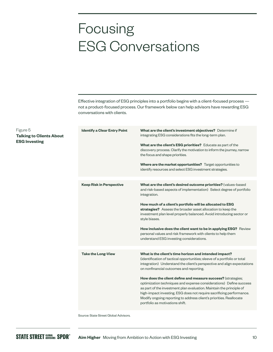# Focusing ESG Conversations

Effective integration of ESG principles into a portfolio begins with a client-focused process not a product-focused process. Our framework below can help advisors have rewarding ESG conversations with clients.

| <b>Identify a Clear Entry Point</b> | What are the client's investment objectives? Determine if<br>integrating ESG considerations fits the long-term plan.<br>What are the client's ESG priorities? Educate as part of the<br>discovery process. Clarify the motivation to inform the journey, narrow<br>the focus and shape priorities.<br>Where are the market opportunities? Target opportunities to<br>identify resources and select ESG investment strategies. |
|-------------------------------------|-------------------------------------------------------------------------------------------------------------------------------------------------------------------------------------------------------------------------------------------------------------------------------------------------------------------------------------------------------------------------------------------------------------------------------|
| <b>Keep Risk in Perspective</b>     | What are the client's desired outcome priorities? (values-based                                                                                                                                                                                                                                                                                                                                                               |
|                                     | and risk-based aspects of implementation) Select degree of portfolio<br>integration.                                                                                                                                                                                                                                                                                                                                          |
|                                     | How much of a client's portfolio will be allocated to ESG                                                                                                                                                                                                                                                                                                                                                                     |
|                                     | strategies? Assess the broader asset allocation to keep the<br>investment plan level properly balanced. Avoid introducing sector or<br>style biases.                                                                                                                                                                                                                                                                          |
|                                     | How inclusive does the client want to be in applying ESG? Review<br>personal values and risk framework with clients to help them<br>understand ESG investing considerations.                                                                                                                                                                                                                                                  |
|                                     |                                                                                                                                                                                                                                                                                                                                                                                                                               |
| <b>Take the Long-View</b>           | What is the client's time horizon and intended impact?<br>(identification of tactical opportunities; sleeve of a portfolio or total<br>integration) Understand the client's perspective and align expectations<br>on nonfinancial outcomes and reporting.                                                                                                                                                                     |
|                                     | How does the client define and measure success? (strategies;                                                                                                                                                                                                                                                                                                                                                                  |
|                                     | optimization techniques and expense considerations) Define success<br>as part of the investment plan evaluation. Maintain the principle of<br>high-impact investing. ESG does not require sacrificing performance.<br>Modify ongoing reporting to address client's priorities. Reallocate<br>portfolio as motivations shift.                                                                                                  |
|                                     |                                                                                                                                                                                                                                                                                                                                                                                                                               |

Source: State Street Global Advisors.

**Talking to Clients About ESG Investing**

Figure 5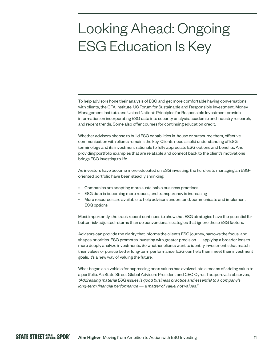### Looking Ahead: Ongoing ESG Education Is Key

To help advisors hone their analysis of ESG and get more comfortable having conversations with clients, the CFA Institute, US Forum for Sustainable and Responsible Investment, Money Management Institute and United Nation's Principles for Responsible Investment provide information on incorporating ESG data into security analysis, academic and industry research, and recent trends. Some also offer courses for continuing education credit.

Whether advisors choose to build ESG capabilities in-house or outsource them, effective communication with clients remains the key. Clients need a solid understanding of ESG terminology and its investment rationale to fully appreciate ESG options and benefits. And providing portfolio examples that are relatable and connect back to the client's motivations brings ESG investing to life.

As investors have become more educated on ESG investing, the hurdles to managing an ESGoriented portfolio have been steadily shrinking:

- Companies are adopting more sustainable business practices
- ESG data is becoming more robust, and transparency is increasing
- More resources are available to help advisors understand, communicate and implement ESG options

Most importantly, the track record continues to show that ESG strategies have the potential for better risk-adjusted returns than do conventional strategies that ignore these ESG factors.

Advisors can provide the clarity that informs the client's ESG journey, narrows the focus, and shapes priorities. ESG promotes investing with greater precision — applying a broader lens to more deeply analyze investments. So whether clients want to identify investments that match their values or pursue better long-term performance, ESG can help them meet their investment goals. It's a new way of valuing the future.

What began as a vehicle for expressing one's values has evolved into a means of adding value to a portfolio. As State Street Global Advisors President and CEO Cyrus Taraporevala observes, *"Addressing material ESG issues is good business practice and essential to a company's long-term financial performance — a matter of value, not values."*